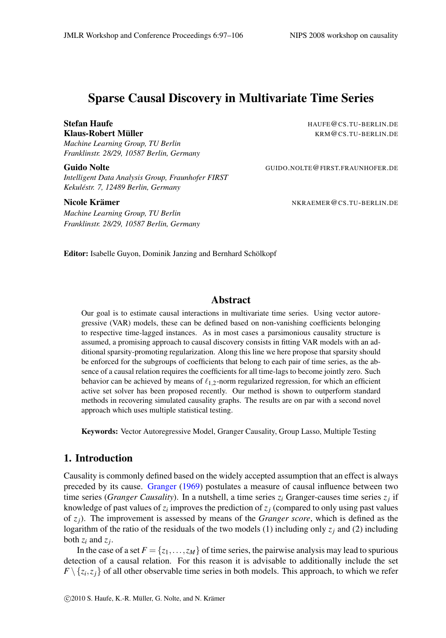# Sparse Causal Discovery in Multivariate Time Series

# Stefan Haufe **Haufe Haufe HAUFE A**nd HAUFE **CONSERVATION** HAUFE **CONSERVATION**

*Machine Learning Group, TU Berlin Franklinstr. 28/29, 10587 Berlin, Germany*

*Intelligent Data Analysis Group, Fraunhofer FIRST Kekuléstr. 7, 12489 Berlin, Germany*

*Machine Learning Group, TU Berlin Franklinstr. 28/29, 10587 Berlin, Germany*

Klaus-Robert Müller **Kraus-Robert Müller** KRM@CS.TU-BERLIN.DE

GUIDO.NOLTE@FIRST.FRAUNHOFER.DE

Nicole Krämer National School and The National Secrets Assembly NKRAEMER@CS.TU-BERLIN.DE

Editor: Isabelle Guyon, Dominik Janzing and Bernhard Schölkopf

#### Abstract

Our goal is to estimate causal interactions in multivariate time series. Using vector autoregressive (VAR) models, these can be defined based on non-vanishing coefficients belonging to respective time-lagged instances. As in most cases a parsimonious causality structure is assumed, a promising approach to causal discovery consists in fitting VAR models with an additional sparsity-promoting regularization. Along this line we here propose that sparsity should be enforced for the subgroups of coefficients that belong to each pair of time series, as the absence of a causal relation requires the coefficients for all time-lags to become jointly zero. Such behavior can be achieved by means of  $\ell_{1,2}$ -norm regularized regression, for which an efficient active set solver has been proposed recently. Our method is shown to outperform standard methods in recovering simulated causality graphs. The results are on par with a second novel approach which uses multiple statistical testing.

Keywords: Vector Autoregressive Model, Granger Causality, Group Lasso, Multiple Testing

# 1. Introduction

Causality is commonly defined based on the widely accepted assumption that an effect is always preceded by its cause. [Granger](#page-7-0) [\(1969\)](#page-7-0) postulates a measure of causal influence between two time series (*Granger Causality*). In a nutshell, a time series  $z_i$  Granger-causes time series  $z_j$  if knowledge of past values of  $z_i$  improves the prediction of  $z_j$  (compared to only using past values of *zj*). The improvement is assessed by means of the *Granger score*, which is defined as the logarithm of the ratio of the residuals of the two models (1) including only  $z_j$  and (2) including both  $z_i$  and  $z_j$ .

In the case of a set  $F = \{z_1, \ldots, z_M\}$  of time series, the pairwise analysis may lead to spurious detection of a causal relation. For this reason it is advisable to additionally include the set  $F \setminus \{z_i, z_j\}$  of all other observable time series in both models. This approach, to which we refer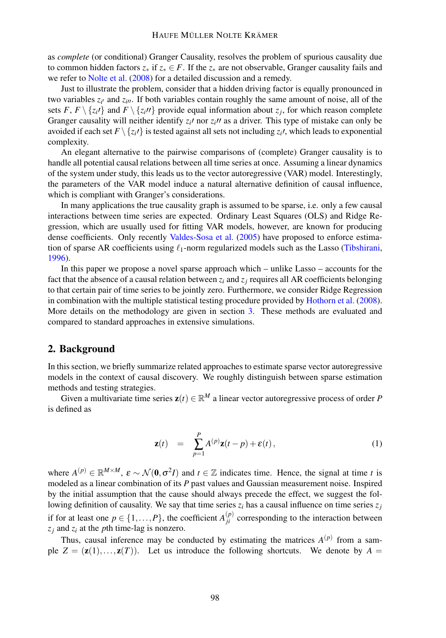#### HAUFE MÜLLER NOLTE KRÄMER

as *complete* (or conditional) Granger Causality, resolves the problem of spurious causality due to common hidden factors  $z^*$  if  $z^* \in F$ . If the  $z^*$  are not observable, Granger causality fails and we refer to [Nolte et al.](#page-7-1) [\(2008\)](#page-7-1) for a detailed discussion and a remedy.

Just to illustrate the problem, consider that a hidden driving factor is equally pronounced in two variables  $z_i$  and  $z_i$ *i*. If both variables contain roughly the same amount of noise, all of the sets *F*, *F*  $\setminus \{z_i\}$  and *F*  $\setminus \{z_i\}$  provide equal information about *z<sub>j</sub>*, for which reason complete Granger causality will neither identify  $z_i$ <sup>*i*</sup> nor  $z_i$ <sup>*i*</sup> as a driver. This type of mistake can only be avoided if each set  $F \setminus \{z_i\}$  is tested against all sets not including  $z_i\prime$ , which leads to exponential complexity.

An elegant alternative to the pairwise comparisons of (complete) Granger causality is to handle all potential causal relations between all time series at once. Assuming a linear dynamics of the system under study, this leads us to the vector autoregressive (VAR) model. Interestingly, the parameters of the VAR model induce a natural alternative definition of causal influence, which is compliant with Granger's considerations.

In many applications the true causality graph is assumed to be sparse, i.e. only a few causal interactions between time series are expected. Ordinary Least Squares (OLS) and Ridge Regression, which are usually used for fitting VAR models, however, are known for producing dense coefficients. Only recently [Valdes-Sosa et al.](#page-8-0) [\(2005\)](#page-8-0) have proposed to enforce estimation of sparse AR coefficients using  $\ell_1$ -norm regularized models such as the Lasso [\(Tibshirani,](#page-8-1) [1996\)](#page-8-1).

In this paper we propose a novel sparse approach which – unlike Lasso – accounts for the fact that the absence of a causal relation between  $z_i$  and  $z_j$  requires all AR coefficients belonging to that certain pair of time series to be jointly zero. Furthermore, we consider Ridge Regression in combination with the multiple statistical testing procedure provided by [Hothorn et al.](#page-7-2) [\(2008\)](#page-7-2). More details on the methodology are given in section [3.](#page-2-0) These methods are evaluated and compared to standard approaches in extensive simulations.

### 2. Background

In this section, we briefly summarize related approaches to estimate sparse vector autoregressive models in the context of causal discovery. We roughly distinguish between sparse estimation methods and testing strategies.

Given a multivariate time series  $\mathbf{z}(t) \in \mathbb{R}^M$  a linear vector autoregressive process of order *P* is defined as

<span id="page-1-0"></span>
$$
\mathbf{z}(t) = \sum_{p=1}^{P} A^{(p)} \mathbf{z}(t-p) + \mathbf{\varepsilon}(t), \qquad (1)
$$

where  $A^{(p)} \in \mathbb{R}^{M \times M}$ ,  $\varepsilon \sim \mathcal{N}(\mathbf{0}, \sigma^2 I)$  and  $t \in \mathbb{Z}$  indicates time. Hence, the signal at time *t* is modeled as a linear combination of its *P* past values and Gaussian measurement noise. Inspired by the initial assumption that the cause should always precede the effect, we suggest the following definition of causality. We say that time series  $z_i$  has a causal influence on time series  $z_j$ if for at least one  $p \in \{1, ..., P\}$ , the coefficient  $A_{ji}^{(p)}$  corresponding to the interaction between  $z_i$  and  $z_i$  at the *p*th time-lag is nonzero.

Thus, causal inference may be conducted by estimating the matrices  $A^{(p)}$  from a sample  $Z = (\mathbf{z}(1),...,\mathbf{z}(T))$ . Let us introduce the following shortcuts. We denote by  $A =$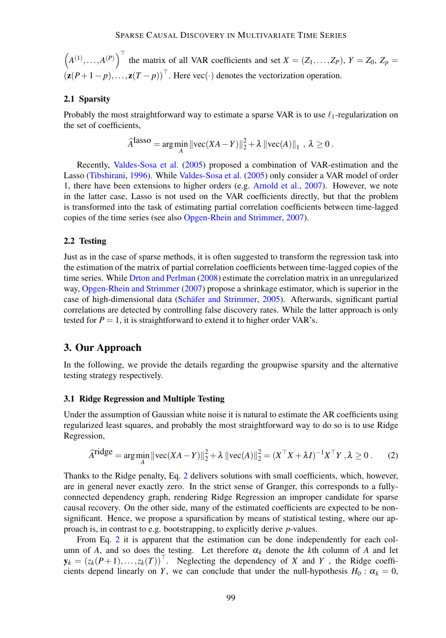$(A^{(1)},...,A^{(P)})$ <sup> $\perp$ </sup> the matrix of all VAR coefficients and set  $X = (Z_1,...,Z_P)$ ,  $Y = Z_0$ ,  $Z_p =$  $(\mathbf{z}(P+1-p),..., \mathbf{z}(T-p))$ <sup>'</sup>. Here vec $(\cdot)$  denotes the vectorization operation.

#### 2.1 Sparsity

Probably the most straightforward way to estimate a sparse VAR is to use  $\ell_1$ -regularization on the set of coefficients,

$$
\widehat{A}^{\text{lasso}} = \arg\min_{A} \|\text{vec}(XA - Y)\|_2^2 + \lambda \|\text{vec}(A)\|_1, \ \lambda \ge 0.
$$

Recently, [Valdes-Sosa et al.](#page-8-0) [\(2005\)](#page-8-0) proposed a combination of VAR-estimation and the Lasso [\(Tibshirani,](#page-8-1) [1996\)](#page-8-1). While [Valdes-Sosa et al.](#page-8-0) [\(2005\)](#page-8-0) only consider a VAR model of order 1, there have been extensions to higher orders (e.g. [Arnold et al.,](#page-7-3) [2007\)](#page-7-3). However, we note in the latter case, Lasso is not used on the VAR coefficients directly, but that the problem is transformed into the task of estimating partial correlation coefficients between time-lagged copies of the time series (see also [Opgen-Rhein and Strimmer,](#page-7-4) [2007\)](#page-7-4).

### 2.2 Testing

Just as in the case of sparse methods, it is often suggested to transform the regression task into the estimation of the matrix of partial correlation coefficients between time-lagged copies of the time series. While [Drton and Perlman](#page-7-5) [\(2008\)](#page-7-5) estimate the correlation matrix in an unregularized way, [Opgen-Rhein and Strimmer](#page-7-4) [\(2007\)](#page-7-4) propose a shrinkage estimator, which is superior in the case of high-dimensional data [\(Schäfer and Strimmer,](#page-7-6) [2005\)](#page-7-6). Afterwards, significant partial correlations are detected by controlling false discovery rates. While the latter approach is only tested for  $P = 1$ , it is straightforward to extend it to higher order VAR's.

## <span id="page-2-0"></span>3. Our Approach

In the following, we provide the details regarding the groupwise sparsity and the alternative testing strategy respectively.

#### <span id="page-2-2"></span>3.1 Ridge Regression and Multiple Testing

Under the assumption of Gaussian white noise it is natural to estimate the AR coefficients using regularized least squares, and probably the most straightforward way to do so is to use Ridge Regression,

<span id="page-2-1"></span>
$$
\widehat{A}^{\text{ridge}} = \underset{A}{\text{arg min}} \left\| \text{vec}(XA - Y) \right\|_{2}^{2} + \lambda \left\| \text{vec}(A) \right\|_{2}^{2} = (X^{\top}X + \lambda I)^{-1}X^{\top}Y, \lambda \ge 0. \tag{2}
$$

Thanks to the Ridge penalty, Eq. [2](#page-2-1) delivers solutions with small coefficients, which, however, are in general never exactly zero. In the strict sense of Granger, this corresponds to a fullyconnected dependency graph, rendering Ridge Regression an improper candidate for sparse causal recovery. On the other side, many of the estimated coefficients are expected to be nonsignificant. Hence, we propose a sparsification by means of statistical testing, where our approach is, in contrast to e.g. bootstrapping, to explicitly derive *p*-values.

From Eq. [2](#page-2-1) it is apparent that the estimation can be done independently for each column of *A*, and so does the testing. Let therefore  $\alpha_k$  denote the *k*th column of *A* and let  $y_k = (z_k(P+1),...,z_k(T))^{\top}$ . Neglecting the dependency of *X* and *Y*, the Ridge coefficients depend linearly on *Y*, we can conclude that under the null-hypothesis  $H_0$ :  $\alpha_k = 0$ ,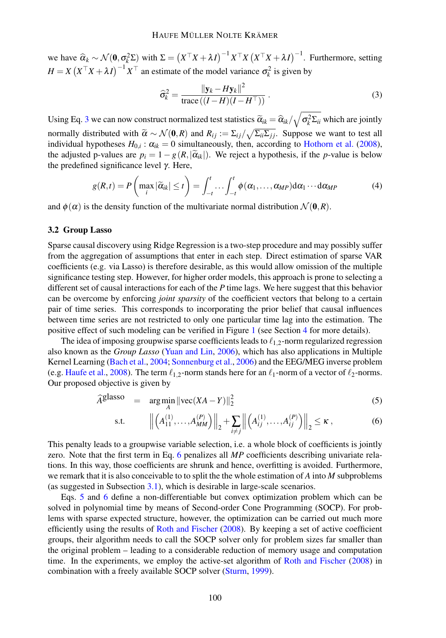we have  $\widehat{\alpha}_k \sim \mathcal{N}(\mathbf{0}, \sigma_k^2 \Sigma)$  with  $\Sigma = \left( X^\top X + \lambda I \right)^{-1} X^\top X \left( X^\top X + \lambda I \right)^{-1}$ . Furthermore, setting  $H = X(X^{\top}X + \lambda I)^{-1}X^{\top}$  an estimate of the model variance  $\sigma_k^2$  is given by

<span id="page-3-0"></span>
$$
\widehat{\sigma}_k^2 = \frac{\|\mathbf{y}_k - H\mathbf{y}_k\|^2}{\text{trace}\left((I - H)(I - H^\top)\right)}\,. \tag{3}
$$

Using Eq. [3](#page-3-0) we can now construct normalized test statistics  $\widetilde\alpha_{ik}=\widehat\alpha_{ik}/\sqrt{\sigma^2_k\Sigma_{ii}}$  which are jointly normally distributed with  $\widetilde{\alpha} \sim \mathcal{N}(\mathbf{0}, R)$  and  $R_{ij} := \sum_{ij} / \sqrt{\sum_{ii} \sum_{jj}}$ . Suppose we want to test all individual hypotheses  $H_{0,i}$ :  $\alpha_{ik} = 0$  simultaneously, then, according to [Hothorn et al.](#page-7-2) [\(2008\)](#page-7-2), the adjusted p-values are  $p_i = 1 - g(R, |\tilde{\alpha}_{ik}|)$ . We reject a hypothesis, if the *p*-value is below the predefined significance level  $γ$ . Here,

<span id="page-3-2"></span>
$$
g(R,t) = P\left(\max_{i}|\widetilde{\alpha}_{ik}| \leq t\right) = \int_{-t}^{t} \dots \int_{-t}^{t} \phi(\alpha_1, \dots, \alpha_{MP}) d\alpha_1 \dots d\alpha_{MP}
$$
(4)

and  $\phi(\alpha)$  is the density function of the multivariate normal distribution  $\mathcal{N}(0,R)$ .

#### 3.2 Group Lasso

Sparse causal discovery using Ridge Regression is a two-step procedure and may possibly suffer from the aggregation of assumptions that enter in each step. Direct estimation of sparse VAR coefficients (e.g. via Lasso) is therefore desirable, as this would allow omission of the multiple significance testing step. However, for higher order models, this approach is prone to selecting a different set of causal interactions for each of the *P* time lags. We here suggest that this behavior can be overcome by enforcing *joint sparsity* of the coefficient vectors that belong to a certain pair of time series. This corresponds to incorporating the prior belief that causal influences between time series are not restricted to only one particular time lag into the estimation. The positive effect of such modeling can be verified in Figure [1](#page-5-0) (see Section [4](#page-4-0) for more details).

The idea of imposing groupwise sparse coefficients leads to  $\ell_{1,2}$ -norm regularized regression also known as the *Group Lasso* [\(Yuan and Lin,](#page-8-2) [2006\)](#page-8-2), which has also applications in Multiple Kernel Learning [\(Bach et al.,](#page-7-7) [2004;](#page-7-7) [Sonnenburg et al.,](#page-8-3) [2006\)](#page-8-3) and the EEG/MEG inverse problem (e.g. [Haufe et al.,](#page-7-8) [2008\)](#page-7-8). The term  $\ell_{1,2}$ -norm stands here for an  $\ell_1$ -norm of a vector of  $\ell_2$ -norms. Our proposed objective is given by

<span id="page-3-1"></span>
$$
\widehat{A}^{\text{glasso}} = \underset{A}{\text{arg min}} \|\text{vec}(XA - Y)\|_2^2 \tag{5}
$$

s.t. 
$$
\left\| \left( A_{11}^{(1)}, \ldots, A_{MM}^{(P)} \right) \right\|_2 + \sum_{i \neq j} \left\| \left( A_{ij}^{(1)}, \ldots, A_{ij}^{(P)} \right) \right\|_2 \leq \kappa ,
$$
 (6)

This penalty leads to a groupwise variable selection, i.e. a whole block of coefficients is jointly zero. Note that the first term in Eq. [6](#page-3-1) penalizes all *MP* coefficients describing univariate relations. In this way, those coefficients are shrunk and hence, overfitting is avoided. Furthermore, we remark that it is also conceivable to to split the the whole estimation of *A* into *M* subproblems (as suggested in Subsection [3.1\)](#page-2-2), which is desirable in large-scale scenarios.

Eqs. [5](#page-3-1) and [6](#page-3-1) define a non-differentiable but convex optimization problem which can be solved in polynomial time by means of Second-order Cone Programming (SOCP). For problems with sparse expected structure, however, the optimization can be carried out much more efficiently using the results of [Roth and Fischer](#page-7-9) [\(2008\)](#page-7-9). By keeping a set of active coefficient groups, their algorithm needs to call the SOCP solver only for problem sizes far smaller than the original problem – leading to a considerable reduction of memory usage and computation time. In the experiments, we employ the active-set algorithm of [Roth and Fischer](#page-7-9) [\(2008\)](#page-7-9) in combination with a freely available SOCP solver [\(Sturm,](#page-8-4) [1999\)](#page-8-4).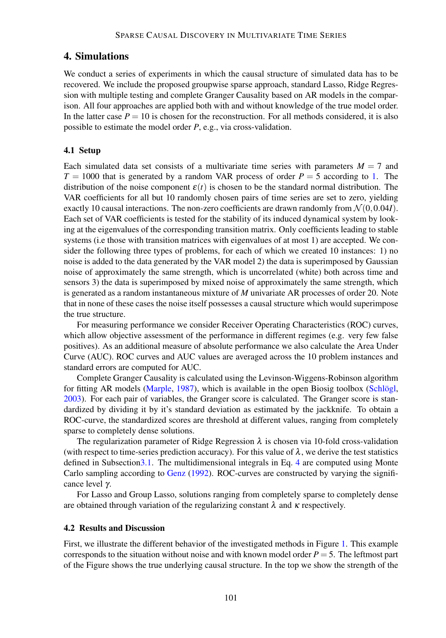# <span id="page-4-0"></span>4. Simulations

We conduct a series of experiments in which the causal structure of simulated data has to be recovered. We include the proposed groupwise sparse approach, standard Lasso, Ridge Regression with multiple testing and complete Granger Causality based on AR models in the comparison. All four approaches are applied both with and without knowledge of the true model order. In the latter case  $P = 10$  is chosen for the reconstruction. For all methods considered, it is also possible to estimate the model order *P*, e.g., via cross-validation.

#### 4.1 Setup

Each simulated data set consists of a multivariate time series with parameters  $M = 7$  and  $T = 1000$  that is generated by a random VAR process of order  $P = 5$  according to [1.](#page-1-0) The distribution of the noise component  $\varepsilon(t)$  is chosen to be the standard normal distribution. The VAR coefficients for all but 10 randomly chosen pairs of time series are set to zero, yielding exactly 10 causal interactions. The non-zero coefficients are drawn randomly from  $\mathcal{N}(0,0.04I)$ . Each set of VAR coefficients is tested for the stability of its induced dynamical system by looking at the eigenvalues of the corresponding transition matrix. Only coefficients leading to stable systems (i.e those with transition matrices with eigenvalues of at most 1) are accepted. We consider the following three types of problems, for each of which we created 10 instances: 1) no noise is added to the data generated by the VAR model 2) the data is superimposed by Gaussian noise of approximately the same strength, which is uncorrelated (white) both across time and sensors 3) the data is superimposed by mixed noise of approximately the same strength, which is generated as a random instantaneous mixture of *M* univariate AR processes of order 20. Note that in none of these cases the noise itself possesses a causal structure which would superimpose the true structure.

For measuring performance we consider Receiver Operating Characteristics (ROC) curves, which allow objective assessment of the performance in different regimes (e.g. very few false positives). As an additional measure of absolute performance we also calculate the Area Under Curve (AUC). ROC curves and AUC values are averaged across the 10 problem instances and standard errors are computed for AUC.

Complete Granger Causality is calculated using the Levinson-Wiggens-Robinson algorithm for fitting AR models [\(Marple,](#page-7-10) [1987\)](#page-7-10), which is available in the open Biosig toolbox [\(Schlögl,](#page-7-11) [2003\)](#page-7-11). For each pair of variables, the Granger score is calculated. The Granger score is standardized by dividing it by it's standard deviation as estimated by the jackknife. To obtain a ROC-curve, the standardized scores are threshold at different values, ranging from completely sparse to completely dense solutions.

The regularization parameter of Ridge Regression  $\lambda$  is chosen via 10-fold cross-validation (with respect to time-series prediction accuracy). For this value of  $\lambda$ , we derive the test statistics defined in Subsectio[n3.1.](#page-2-2) The multidimensional integrals in Eq. [4](#page-3-2) are computed using Monte Carlo sampling according to [Genz](#page-7-12) [\(1992\)](#page-7-12). ROC-curves are constructed by varying the significance level γ.

For Lasso and Group Lasso, solutions ranging from completely sparse to completely dense are obtained through variation of the regularizing constant  $\lambda$  and  $\kappa$  respectively.

#### 4.2 Results and Discussion

First, we illustrate the different behavior of the investigated methods in Figure [1.](#page-5-0) This example corresponds to the situation without noise and with known model order  $P = 5$ . The leftmost part of the Figure shows the true underlying causal structure. In the top we show the strength of the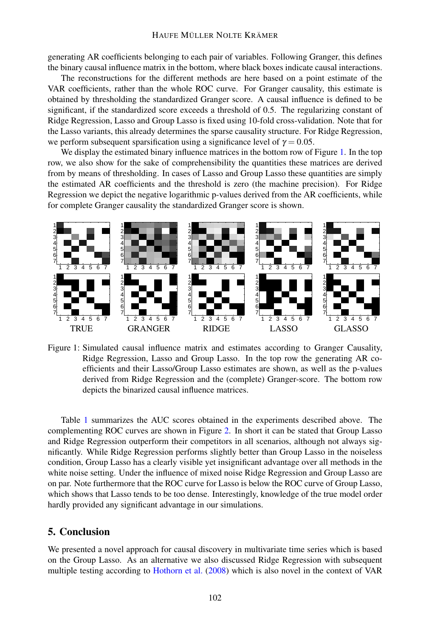generating AR coefficients belonging to each pair of variables. Following Granger, this defines the binary causal influence matrix in the bottom, where black boxes indicate causal interactions.

The reconstructions for the different methods are here based on a point estimate of the VAR coefficients, rather than the whole ROC curve. For Granger causality, this estimate is obtained by thresholding the standardized Granger score. A causal influence is defined to be significant, if the standardized score exceeds a threshold of 0.5. The regularizing constant of Ridge Regression, Lasso and Group Lasso is fixed using 10-fold cross-validation. Note that for the Lasso variants, this already determines the sparse causality structure. For Ridge Regression, we perform subsequent sparsification using a significance level of  $\gamma = 0.05$ .

We display the estimated binary influence matrices in the bottom row of Figure [1.](#page-5-0) In the top row, we also show for the sake of comprehensibility the quantities these matrices are derived from by means of thresholding. In cases of Lasso and Group Lasso these quantities are simply the estimated AR coefficients and the threshold is zero (the machine precision). For Ridge Regression we depict the negative logarithmic p-values derived from the AR coefficients, while for complete Granger causality the standardized Granger score is shown.



<span id="page-5-0"></span>Figure 1: Simulated causal influence matrix and estimates according to Granger Causality, Ridge Regression, Lasso and Group Lasso. In the top row the generating AR coefficients and their Lasso/Group Lasso estimates are shown, as well as the p-values derived from Ridge Regression and the (complete) Granger-score. The bottom row depicts the binarized causal influence matrices.

Table [1](#page-6-0) summarizes the AUC scores obtained in the experiments described above. The complementing ROC curves are shown in Figure [2.](#page-6-1) In short it can be stated that Group Lasso and Ridge Regression outperform their competitors in all scenarios, although not always significantly. While Ridge Regression performs slightly better than Group Lasso in the noiseless condition, Group Lasso has a clearly visible yet insignificant advantage over all methods in the white noise setting. Under the influence of mixed noise Ridge Regression and Group Lasso are on par. Note furthermore that the ROC curve for Lasso is below the ROC curve of Group Lasso, which shows that Lasso tends to be too dense. Interestingly, knowledge of the true model order hardly provided any significant advantage in our simulations.

## 5. Conclusion

We presented a novel approach for causal discovery in multivariate time series which is based on the Group Lasso. As an alternative we also discussed Ridge Regression with subsequent multiple testing according to [Hothorn et al.](#page-7-2) [\(2008\)](#page-7-2) which is also novel in the context of VAR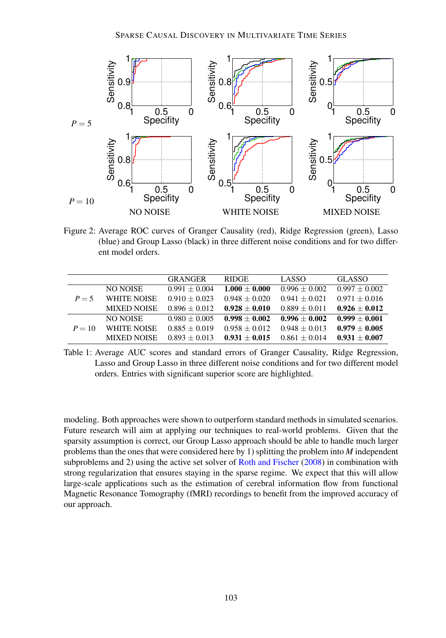

<span id="page-6-1"></span>Figure 2: Average ROC curves of Granger Causality (red), Ridge Regression (green), Lasso (blue) and Group Lasso (black) in three different noise conditions and for two different model orders.

|          |                    | <b>GRANGER</b>  | <b>RIDGE</b>    | LASSO           | <b>GLASSO</b>   |
|----------|--------------------|-----------------|-----------------|-----------------|-----------------|
| $P = 5$  | NO NOISE           | $0.991 + 0.004$ | $1.000 + 0.000$ | $0.996 + 0.002$ | $0.997 + 0.002$ |
|          | <b>WHITE NOISE</b> | $0.910 + 0.023$ | $0.948 + 0.020$ | $0.941 + 0.021$ | $0.971 + 0.016$ |
|          | <b>MIXED NOISE</b> | $0.896 + 0.012$ | $0.928 + 0.010$ | $0.889 + 0.011$ | $0.926 + 0.012$ |
| $P = 10$ | NO NOISE           | $0.980 + 0.005$ | $0.998 + 0.002$ | $0.996 + 0.002$ | $0.999 + 0.001$ |
|          | <b>WHITE NOISE</b> | $0.885 + 0.019$ | $0.958 + 0.012$ | $0.948 + 0.013$ | $0.979 + 0.005$ |
|          | <b>MIXED NOISE</b> | $0.893 + 0.013$ | $0.931 + 0.015$ | $0.861 + 0.014$ | $0.931 + 0.007$ |

<span id="page-6-0"></span>Table 1: Average AUC scores and standard errors of Granger Causality, Ridge Regression, Lasso and Group Lasso in three different noise conditions and for two different model orders. Entries with significant superior score are highlighted.

modeling. Both approaches were shown to outperform standard methods in simulated scenarios. Future research will aim at applying our techniques to real-world problems. Given that the sparsity assumption is correct, our Group Lasso approach should be able to handle much larger problems than the ones that were considered here by 1) splitting the problem into *M* independent subproblems and 2) using the active set solver of [Roth and Fischer](#page-7-9) [\(2008\)](#page-7-9) in combination with strong regularization that ensures staying in the sparse regime. We expect that this will allow large-scale applications such as the estimation of cerebral information flow from functional Magnetic Resonance Tomography (fMRI) recordings to benefit from the improved accuracy of our approach.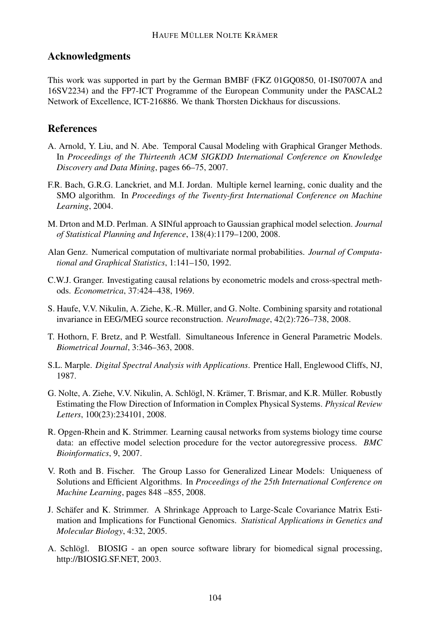# Acknowledgments

This work was supported in part by the German BMBF (FKZ 01GQ0850, 01-IS07007A and 16SV2234) and the FP7-ICT Programme of the European Community under the PASCAL2 Network of Excellence, ICT-216886. We thank Thorsten Dickhaus for discussions.

# References

- <span id="page-7-3"></span>A. Arnold, Y. Liu, and N. Abe. Temporal Causal Modeling with Graphical Granger Methods. In *Proceedings of the Thirteenth ACM SIGKDD International Conference on Knowledge Discovery and Data Mining*, pages 66–75, 2007.
- <span id="page-7-7"></span>F.R. Bach, G.R.G. Lanckriet, and M.I. Jordan. Multiple kernel learning, conic duality and the SMO algorithm. In *Proceedings of the Twenty-first International Conference on Machine Learning*, 2004.
- <span id="page-7-5"></span>M. Drton and M.D. Perlman. A SINful approach to Gaussian graphical model selection. *Journal of Statistical Planning and Inference*, 138(4):1179–1200, 2008.
- <span id="page-7-12"></span>Alan Genz. Numerical computation of multivariate normal probabilities. *Journal of Computational and Graphical Statistics*, 1:141–150, 1992.
- <span id="page-7-0"></span>C.W.J. Granger. Investigating causal relations by econometric models and cross-spectral methods. *Econometrica*, 37:424–438, 1969.
- <span id="page-7-8"></span>S. Haufe, V.V. Nikulin, A. Ziehe, K.-R. Müller, and G. Nolte. Combining sparsity and rotational invariance in EEG/MEG source reconstruction. *NeuroImage*, 42(2):726–738, 2008.
- <span id="page-7-2"></span>T. Hothorn, F. Bretz, and P. Westfall. Simultaneous Inference in General Parametric Models. *Biometrical Journal*, 3:346–363, 2008.
- <span id="page-7-10"></span>S.L. Marple. *Digital Spectral Analysis with Applications*. Prentice Hall, Englewood Cliffs, NJ, 1987.
- <span id="page-7-1"></span>G. Nolte, A. Ziehe, V.V. Nikulin, A. Schlögl, N. Krämer, T. Brismar, and K.R. Müller. Robustly Estimating the Flow Direction of Information in Complex Physical Systems. *Physical Review Letters*, 100(23):234101, 2008.
- <span id="page-7-4"></span>R. Opgen-Rhein and K. Strimmer. Learning causal networks from systems biology time course data: an effective model selection procedure for the vector autoregressive process. *BMC Bioinformatics*, 9, 2007.
- <span id="page-7-9"></span>V. Roth and B. Fischer. The Group Lasso for Generalized Linear Models: Uniqueness of Solutions and Efficient Algorithms. In *Proceedings of the 25th International Conference on Machine Learning*, pages 848 –855, 2008.
- <span id="page-7-6"></span>J. Schäfer and K. Strimmer. A Shrinkage Approach to Large-Scale Covariance Matrix Estimation and Implications for Functional Genomics. *Statistical Applications in Genetics and Molecular Biology*, 4:32, 2005.
- <span id="page-7-11"></span>A. Schlögl. BIOSIG - an open source software library for biomedical signal processing, http://BIOSIG.SF.NET, 2003.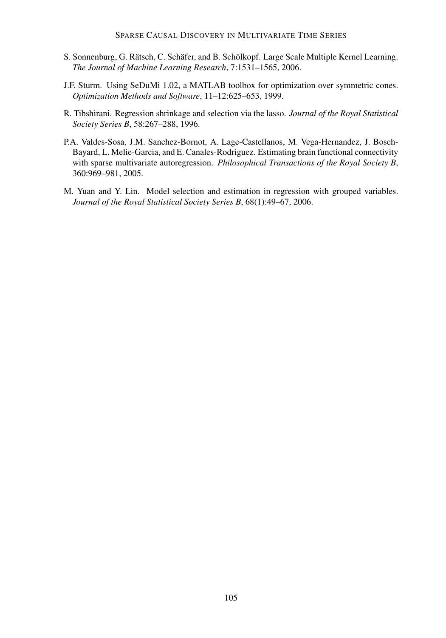- <span id="page-8-3"></span>S. Sonnenburg, G. Rätsch, C. Schäfer, and B. Schölkopf. Large Scale Multiple Kernel Learning. *The Journal of Machine Learning Research*, 7:1531–1565, 2006.
- <span id="page-8-4"></span>J.F. Sturm. Using SeDuMi 1.02, a MATLAB toolbox for optimization over symmetric cones. *Optimization Methods and Software*, 11–12:625–653, 1999.
- <span id="page-8-1"></span>R. Tibshirani. Regression shrinkage and selection via the lasso. *Journal of the Royal Statistical Society Series B*, 58:267–288, 1996.
- <span id="page-8-0"></span>P.A. Valdes-Sosa, J.M. Sanchez-Bornot, A. Lage-Castellanos, M. Vega-Hernandez, J. Bosch-Bayard, L. Melie-Garcia, and E. Canales-Rodriguez. Estimating brain functional connectivity with sparse multivariate autoregression. *Philosophical Transactions of the Royal Society B*, 360:969–981, 2005.
- <span id="page-8-2"></span>M. Yuan and Y. Lin. Model selection and estimation in regression with grouped variables. *Journal of the Royal Statistical Society Series B*, 68(1):49–67, 2006.